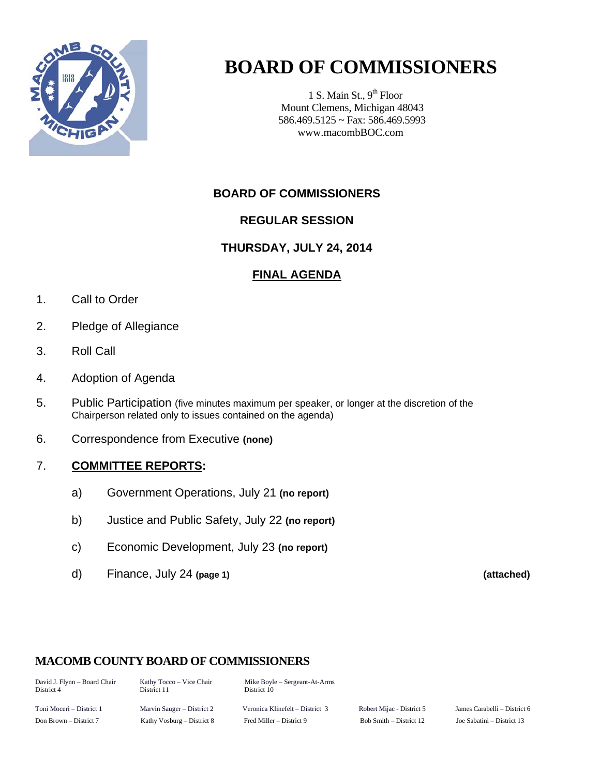

## **BOARD OF COMMISSIONERS**

1 S. Main St.,  $9<sup>th</sup>$  Floor Mount Clemens, Michigan 48043 586.469.5125 ~ Fax: 586.469.5993 www.macombBOC.com

#### **BOARD OF COMMISSIONERS**

#### **REGULAR SESSION**

#### **THURSDAY, JULY 24, 2014**

#### **FINAL AGENDA**

- 1. Call to Order
- 2. Pledge of Allegiance
- 3. Roll Call
- 4. Adoption of Agenda
- 5. Public Participation (five minutes maximum per speaker, or longer at the discretion of the Chairperson related only to issues contained on the agenda)
- 6. Correspondence from Executive **(none)**

#### 7. **COMMITTEE REPORTS:**

- a) Government Operations, July 21 **(no report)**
- b) Justice and Public Safety, July 22 **(no report)**
- c) Economic Development, July 23 **(no report)**
- d) Finance, July 24 **(page 1) (attached)**

#### **MACOMB COUNTY BOARD OF COMMISSIONERS**

David J. Flynn – Board Chair Kathy Tocco – Vice Chair Mike Boyle – Sergeant-At-Arms<br>District 4 District 11 District 10 District 10

Toni Moceri – District 1 Marvin Sauger – District 2 Veronica Klinefelt – District 3 Robert Mijac - District 5 James Carabelli – District 6 Don Brown – District 7 Kathy Vosburg – District 8 Fred Miller – District 9 Bob Smith – District 12 Joe Sabatini – District 13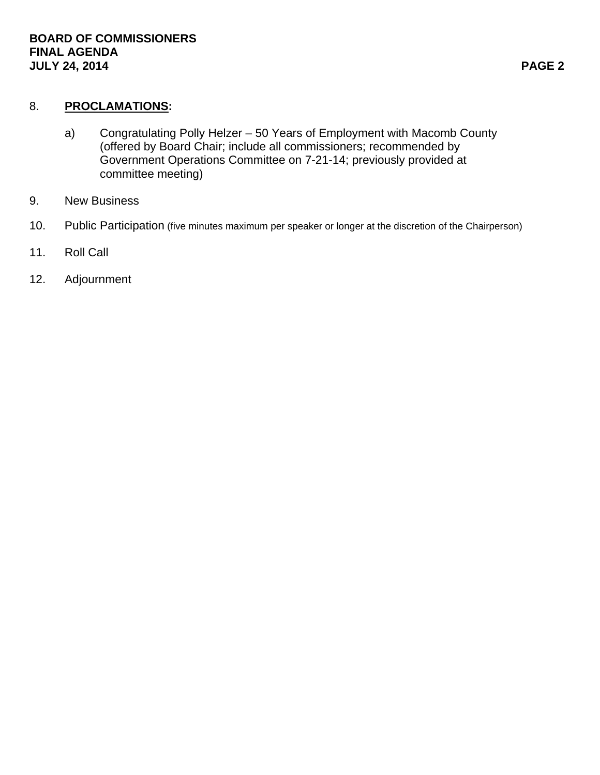#### 8. **PROCLAMATIONS:**

- a) Congratulating Polly Helzer 50 Years of Employment with Macomb County (offered by Board Chair; include all commissioners; recommended by Government Operations Committee on 7-21-14; previously provided at committee meeting)
- 9. New Business
- 10. Public Participation (five minutes maximum per speaker or longer at the discretion of the Chairperson)
- 11. Roll Call
- 12. Adjournment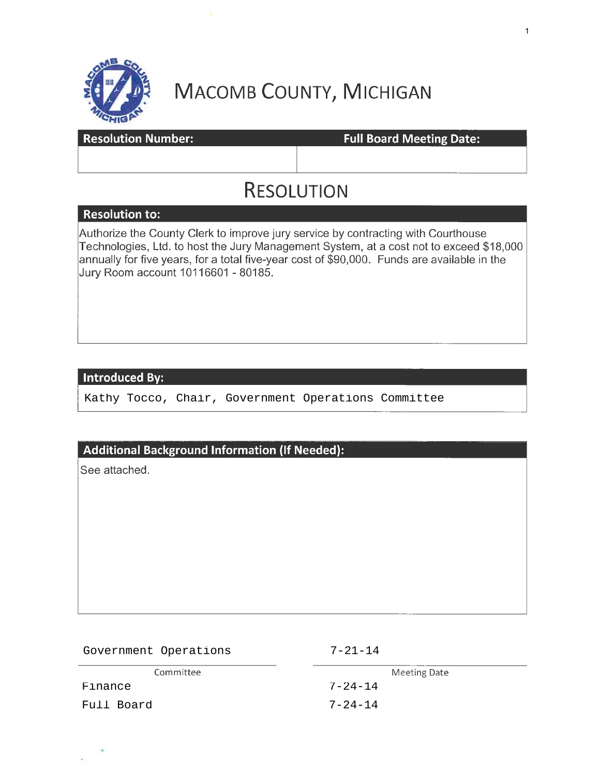

# **MACOMB COUNTY, MICHIGAN**

| ----                      |                                 |
|---------------------------|---------------------------------|
| <b>Resolution Number:</b> | <b>Full Board Meeting Date:</b> |
|                           |                                 |
|                           |                                 |

## **RESOLUTION**

#### **Resolution to:**

Authorize the County Clerk to improve jury service by contracting with Courthouse Technologies, Ltd. to host the Jury Management System, at a cost not to exceed \$18,000 annually for five years, for a total five-year cost of \$90,000. Funds are available in the Jury Room account 10116601 - 80185.

#### **Introduced By:**

Kathy Tocco, Chair, Government Operations Committee

#### **Additional Background Information** {If **Needed):**

See attached.

| Government Operations | $7 - 21 - 14$ |
|-----------------------|---------------|
| Committee             | Meeting Date  |
| Finance               | $7 - 24 - 14$ |
| Full Board            | $7 - 24 - 14$ |

1

---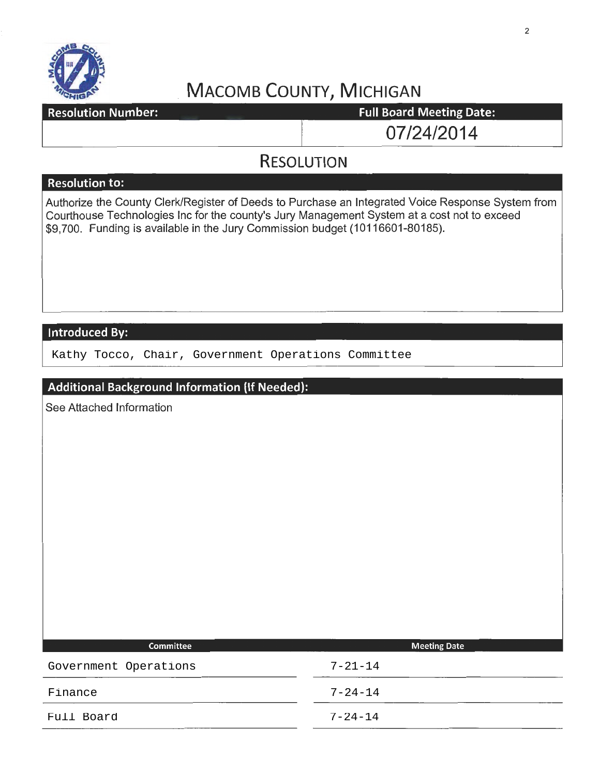

# **MACOMB COUNTY, MICHIGAN**<br> **Full Board Meeting Date:**

**Resolution Number:** 

07/24/2014

### **RESOLUTION**

#### **Resolution to:**

Authorize the County Clerk/Register of Deeds to Purchase an Integrated Voice Response System from Courthouse Technologies Inc for the county's Jury Management System at a cost not to exceed \$9,700. Funding is available in the Jury Commission budget (10116601-80185).

#### **Introduced By:**

Kathy Tocco, Chair, Government Operations Committee

| Additional Background Information (If Needed): |                     |  |
|------------------------------------------------|---------------------|--|
| See Attached Information                       |                     |  |
|                                                |                     |  |
|                                                |                     |  |
|                                                |                     |  |
|                                                |                     |  |
|                                                |                     |  |
|                                                |                     |  |
|                                                |                     |  |
|                                                |                     |  |
|                                                |                     |  |
|                                                |                     |  |
| Committee                                      | <b>Meeting Date</b> |  |
| Government Operations                          | $7 - 21 - 14$       |  |
| Finance                                        | $7 - 24 - 14$       |  |
| Full Board                                     | $7 - 24 - 14$       |  |